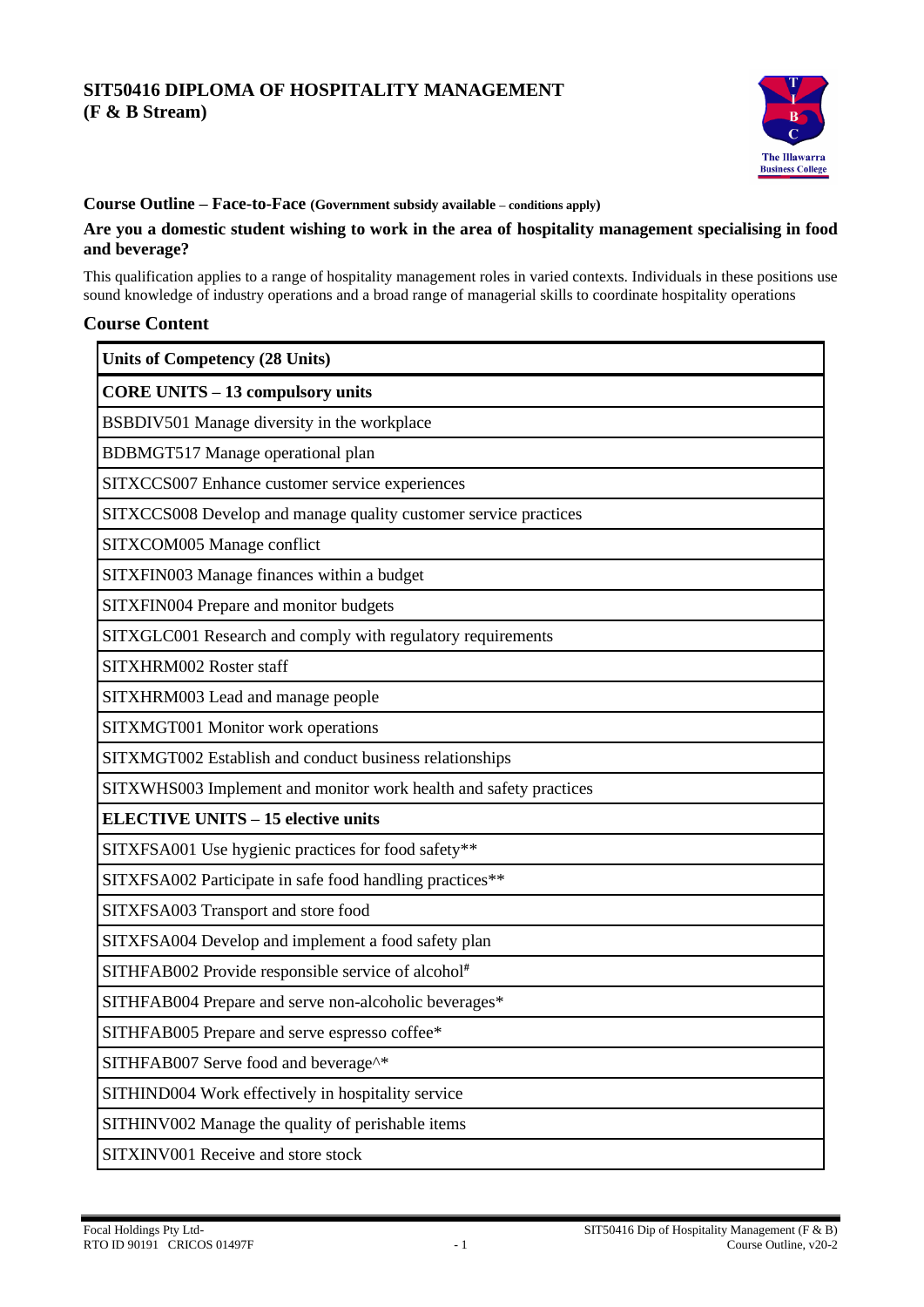# **SIT50416 DIPLOMA OF HOSPITALITY MANAGEMENT (F & B Stream)**



## **Course Outline – Face-to-Face (Government subsidy available – conditions apply)**

### **Are you a domestic student wishing to work in the area of hospitality management specialising in food and beverage?**

This qualification applies to a range of hospitality management roles in varied contexts. Individuals in these positions use sound knowledge of industry operations and a broad range of managerial skills to coordinate hospitality operations

### **Course Content**

| <b>Units of Competency (28 Units)</b>                             |
|-------------------------------------------------------------------|
| <b>CORE UNITS - 13 compulsory units</b>                           |
| BSBDIV501 Manage diversity in the workplace                       |
| BDBMGT517 Manage operational plan                                 |
| SITXCCS007 Enhance customer service experiences                   |
| SITXCCS008 Develop and manage quality customer service practices  |
| SITXCOM005 Manage conflict                                        |
| SITXFIN003 Manage finances within a budget                        |
| SITXFIN004 Prepare and monitor budgets                            |
| SITXGLC001 Research and comply with regulatory requirements       |
| SITXHRM002 Roster staff                                           |
| SITXHRM003 Lead and manage people                                 |
| SITXMGT001 Monitor work operations                                |
| SITXMGT002 Establish and conduct business relationships           |
| SITXWHS003 Implement and monitor work health and safety practices |
| <b>ELECTIVE UNITS - 15 elective units</b>                         |
| SITXFSA001 Use hygienic practices for food safety**               |
| SITXFSA002 Participate in safe food handling practices**          |
| SITXFSA003 Transport and store food                               |
| SITXFSA004 Develop and implement a food safety plan               |
| SITHFAB002 Provide responsible service of alcohol#                |
| SITHFAB004 Prepare and serve non-alcoholic beverages*             |
| SITHFAB005 Prepare and serve espresso coffee*                     |
| SITHFAB007 Serve food and beverage <sup>^*</sup>                  |
| SITHIND004 Work effectively in hospitality service                |
| SITHINV002 Manage the quality of perishable items                 |
| SITXINV001 Receive and store stock                                |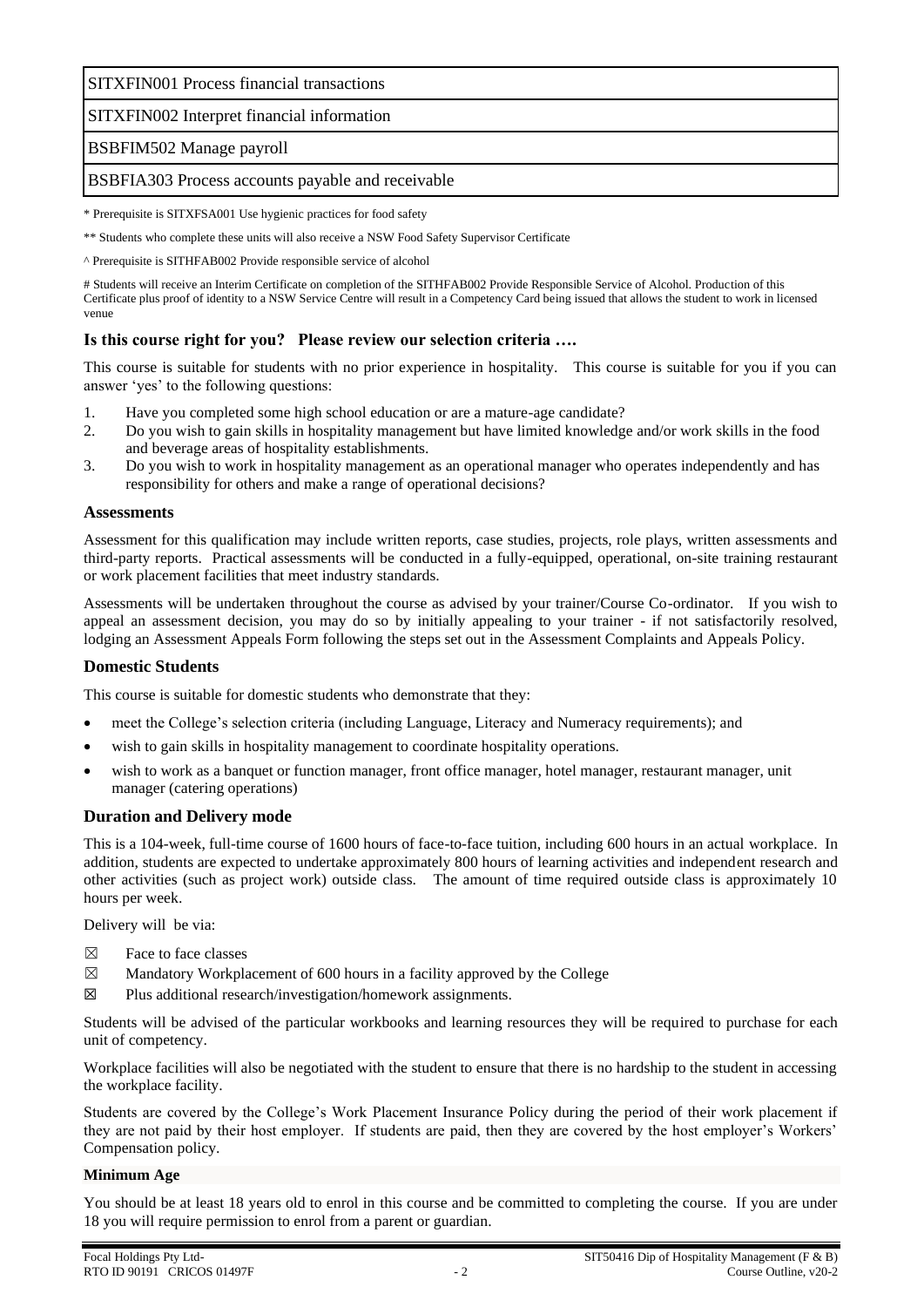SITXFIN001 Process financial transactions

## SITXFIN002 Interpret financial information

### BSBFIM502 Manage payroll

### BSBFIA303 Process accounts payable and receivable

\* Prerequisite is SITXFSA001 Use hygienic practices for food safety

\*\* Students who complete these units will also receive a NSW Food Safety Supervisor Certificate

^ Prerequisite is SITHFAB002 Provide responsible service of alcohol

# Students will receive an Interim Certificate on completion of the SITHFAB002 Provide Responsible Service of Alcohol. Production of this Certificate plus proof of identity to a NSW Service Centre will result in a Competency Card being issued that allows the student to work in licensed venue

## **Is this course right for you? Please review our selection criteria ….**

This course is suitable for students with no prior experience in hospitality. This course is suitable for you if you can answer 'yes' to the following questions:

- 1. Have you completed some high school education or are a mature-age candidate?
- 2. Do you wish to gain skills in hospitality management but have limited knowledge and/or work skills in the food and beverage areas of hospitality establishments.
- 3. Do you wish to work in hospitality management as an operational manager who operates independently and has responsibility for others and make a range of operational decisions?

### **Assessments**

Assessment for this qualification may include written reports, case studies, projects, role plays, written assessments and third-party reports. Practical assessments will be conducted in a fully-equipped, operational, on-site training restaurant or work placement facilities that meet industry standards.

Assessments will be undertaken throughout the course as advised by your trainer/Course Co-ordinator. If you wish to appeal an assessment decision, you may do so by initially appealing to your trainer - if not satisfactorily resolved, lodging an Assessment Appeals Form following the steps set out in the Assessment Complaints and Appeals Policy.

### **Domestic Students**

This course is suitable for domestic students who demonstrate that they:

- meet the College's selection criteria (including Language, Literacy and Numeracy requirements); and
- wish to gain skills in hospitality management to coordinate hospitality operations.
- wish to work as a banquet or function manager, front office manager, hotel manager, restaurant manager, unit manager (catering operations)

### **Duration and Delivery mode**

This is a 104-week, full-time course of 1600 hours of face-to-face tuition, including 600 hours in an actual workplace. In addition, students are expected to undertake approximately 800 hours of learning activities and independent research and other activities (such as project work) outside class. The amount of time required outside class is approximately 10 hours per week.

Delivery will be via:

- $\boxtimes$  Face to face classes
- $\boxtimes$  Mandatory Workplacement of 600 hours in a facility approved by the College
- $\boxtimes$  Plus additional research/investigation/homework assignments.

Students will be advised of the particular workbooks and learning resources they will be required to purchase for each unit of competency.

Workplace facilities will also be negotiated with the student to ensure that there is no hardship to the student in accessing the workplace facility.

Students are covered by the College's Work Placement Insurance Policy during the period of their work placement if they are not paid by their host employer. If students are paid, then they are covered by the host employer's Workers' Compensation policy.

#### **Minimum Age**

You should be at least 18 years old to enrol in this course and be committed to completing the course. If you are under 18 you will require permission to enrol from a parent or guardian.